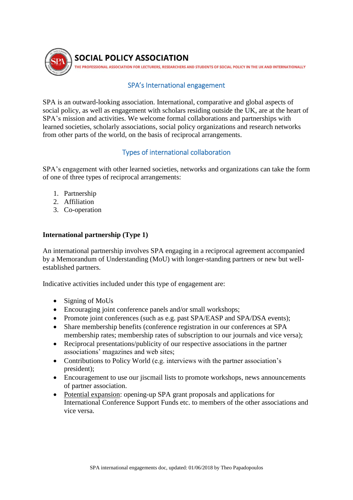

## SPA's International engagement

SPA is an outward-looking association. International, comparative and global aspects of social policy, as well as engagement with scholars residing outside the UK, are at the heart of SPA's mission and activities. We welcome formal collaborations and partnerships with learned societies, scholarly associations, social policy organizations and research networks from other parts of the world, on the basis of reciprocal arrangements.

# Types of international collaboration

SPA's engagement with other learned societies, networks and organizations can take the form of one of three types of reciprocal arrangements:

- 1. Partnership
- 2. Affiliation
- 3. Co-operation

#### **International partnership (Type 1)**

An international partnership involves SPA engaging in a reciprocal agreement accompanied by a Memorandum of Understanding (MoU) with longer-standing partners or new but wellestablished partners.

Indicative activities included under this type of engagement are:

- Signing of MoUs
- Encouraging joint conference panels and/or small workshops;
- Promote joint conferences (such as e.g. past SPA/EASP and SPA/DSA events);
- Share membership benefits (conference registration in our conferences at SPA membership rates; membership rates of subscription to our journals and vice versa);
- Reciprocal presentations/publicity of our respective associations in the partner associations' magazines and web sites;
- Contributions to Policy World (e.g. interviews with the partner association's president);
- Encouragement to use our jiscmail lists to promote workshops, news announcements of partner association.
- Potential expansion: opening-up SPA grant proposals and applications for International Conference Support Funds etc. to members of the other associations and vice versa.